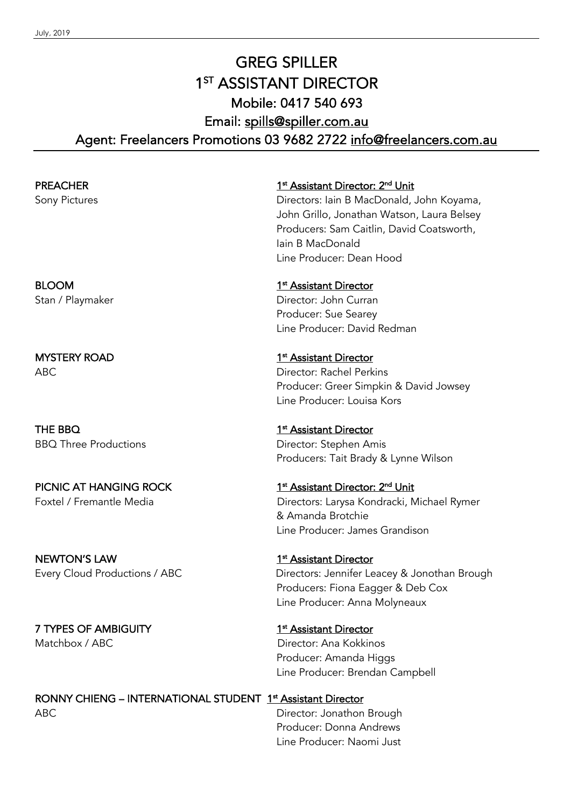# GREG SPILLER 1<sup>ST</sup> ASSISTANT DIRECTOR Mobile: 0417 540 693 Email: spills@spiller.com.au Agent: Freelancers Promotions 03 9682 2722 info@freelancers.com.au

**PREACHER** 1st Assistant Director: 2<sup>nd</sup> Unit Sony Pictures **Directors: Iain B MacDonald, John Koyama**, John Grillo, Jonathan Watson, Laura Belsey Producers: Sam Caitlin, David Coatsworth, Iain B MacDonald Line Producer: Dean Hood BLOOM 1st Assistant Director Stan / Playmaker **Director: John Curran** Producer: Sue Searey Line Producer: David Redman MYSTERY ROAD 1st Assistant Director ABC Director: Rachel Perkins Producer: Greer Simpkin & David Jowsey Line Producer: Louisa Kors THE BBQ 1st Assistant Director BBQ Three Productions **Director: Stephen Amis** Producers: Tait Brady & Lynne Wilson PICNIC AT HANGING ROCK 1st Assistant Director: 2<sup>nd</sup> Unit Foxtel / Fremantle Media **Directors: Larysa Kondracki, Michael Rymer** & Amanda Brotchie Line Producer: James Grandison

NEWTON'S LAW 1st Assistant Director Every Cloud Productions / ABC Directors: Jennifer Leacey & Jonothan Brough Producers: Fiona Eagger & Deb Cox Line Producer: Anna Molyneaux

7 TYPES OF AMBIGUITY 1st Assistant Director Matchbox / ABC Director: Ana Kokkinos Producer: Amanda Higgs Line Producer: Brendan Campbell

RONNY CHIENG – INTERNATIONAL STUDENT 1<sup>st</sup> Assistant Director ABC **Director: Jonathon Brough** Producer: Donna Andrews Line Producer: Naomi Just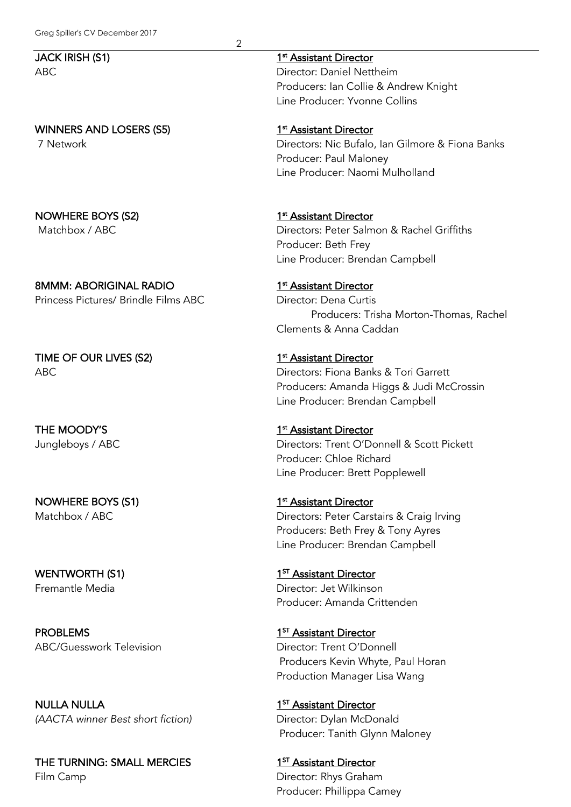## WINNERS AND LOSERS (S5) 1st Assistant Director

NOWHERE BOYS (S2) 1<sup>st</sup> Assistant Director

8MMM: ABORIGINAL RADIO 1st Assistant Director Princess Pictures/ Brindle Films ABC Director: Dena Curtis

TIME OF OUR LIVES (S2) 1st Assistant Director

NOWHERE BOYS (S1) 1st Assistant Director

PROBLEMS 1<sup>ST</sup> Assistant Director ABC/Guesswork Television **Director: Trent O'Donnell** 

NULLA NULLA 1<sup>ST</sup> Assistant Director *(AACTA winner Best short fiction)* Director: Dylan McDonald

THE TURNING: SMALL MERCIES 1<sup>ST</sup> Assistant Director Film Camp **Director: Rhys Graham** 

JACK IRISH (S1) 1st Assistant Director

2

ABC Director: Daniel Nettheim Producers: Ian Collie & Andrew Knight Line Producer: Yvonne Collins

7 Network Directors: Nic Bufalo, Ian Gilmore & Fiona Banks Producer: Paul Maloney Line Producer: Naomi Mulholland

Matchbox / ABC **Directors: Peter Salmon & Rachel Griffiths** Producer: Beth Frey Line Producer: Brendan Campbell

Producers: Trisha Morton-Thomas, Rachel Clements & Anna Caddan

ABC Directors: Fiona Banks & Tori Garrett Producers: Amanda Higgs & Judi McCrossin Line Producer: Brendan Campbell

## THE MOODY'S 1<sup>st</sup> Assistant Director

Jungleboys / ABC Directors: Trent O'Donnell & Scott Pickett Producer: Chloe Richard Line Producer: Brett Popplewell

Matchbox / ABC Directors: Peter Carstairs & Craig Irving Producers: Beth Frey & Tony Ayres Line Producer: Brendan Campbell

# WENTWORTH (S1) 1<sup>ST</sup> Assistant Director Fremantle Media Director: Jet Wilkinson Producer: Amanda Crittenden

 Producers Kevin Whyte, Paul Horan Production Manager Lisa Wang

Producer: Tanith Glynn Maloney

Producer: Phillippa Camey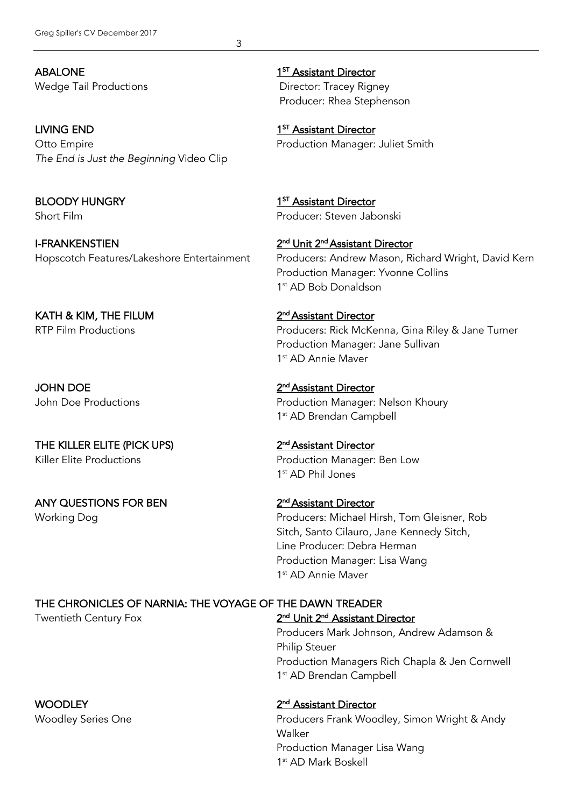3

ABALONE 1<sup>ST</sup> Assistant Director Wedge Tail Productions **Director: Tracey Rigney** 

LIVING END 1<sup>ST</sup> Assistant Director Otto Empire Production Manager: Juliet Smith *The End is Just the Beginning* Video Clip

I-FRANKENSTIEN 2<sup>nd</sup> Unit 2<sup>nd</sup> Assistant Director

KATH & KIM, THE FILUM  $2<sup>nd</sup>$  Assistant Director

JOHN DOE 2nd Assistant Director

THE KILLER ELITE (PICK UPS) 2<sup>nd</sup> Assistant Director Killer Elite Productions **Elite Productions** Production Manager: Ben Low

ANY QUESTIONS FOR BEN 2<sup>nd</sup> Assistant Director

**WOODLEY** 2<sup>nd</sup> Assistant Director

Producer: Rhea Stephenson

BLOODY HUNGRY 1<sup>ST</sup> Assistant Director Short Film Producer: Steven Jabonski

Hopscotch Features/Lakeshore Entertainment Producers: Andrew Mason, Richard Wright, David Kern Production Manager: Yvonne Collins 1st AD Bob Donaldson

RTP Film Productions **Producers: Rick McKenna, Gina Riley & Jane Turner** Production Manager: Jane Sullivan 1<sup>st</sup> AD Annie Mayer

John Doe Productions **Production Manager: Nelson Khoury** 1<sup>st</sup> AD Brendan Campbell

1st AD Phil Jones

Working Dog **Producers: Michael Hirsh, Tom Gleisner, Rob** Producers: Michael Hirsh, Tom Gleisner, Rob Sitch, Santo Cilauro, Jane Kennedy Sitch, Line Producer: Debra Herman Production Manager: Lisa Wang 1st AD Annie Maver

# THE CHRONICLES OF NARNIA: THE VOYAGE OF THE DAWN TREADER

Twentieth Century Fox 2<sup>nd</sup> Unit 2<sup>nd</sup> Assistant Director Producers Mark Johnson, Andrew Adamson & Philip Steuer Production Managers Rich Chapla & Jen Cornwell

1<sup>st</sup> AD Brendan Campbell

Woodley Series One **Producers Frank Woodley, Simon Wright & Andy** Walker Production Manager Lisa Wang 1st AD Mark Boskell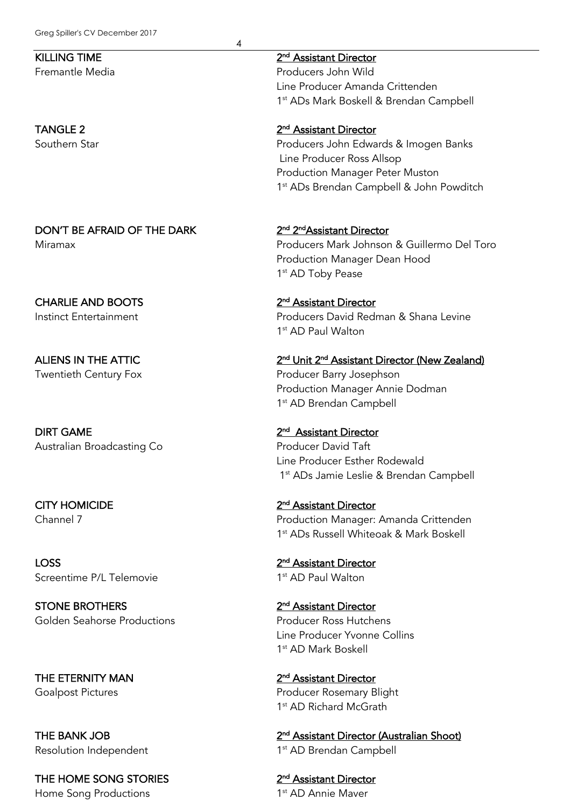4

# KILLING TIME 2<sup>nd</sup> Assistant Director

Fremantle Media Producers John Wild Line Producer Amanda Crittenden 1st ADs Mark Boskell & Brendan Campbell

## TANGLE 2 2<sup>nd</sup> Assistant Director

Southern Star **Subset Contracts** Couthern Star **Producers** John Edwards & Imogen Banks Line Producer Ross Allsop Production Manager Peter Muston 1<sup>st</sup> ADs Brendan Campbell & John Powditch

# DON'T BE AFRAID OF THE DARK 2<sup>nd</sup> 2<sup>nd</sup> 2<sup>nd</sup>Assistant Director

Miramax Producers Mark Johnson & Guillermo Del Toro Production Manager Dean Hood 1<sup>st</sup> AD Toby Pease

# Instinct Entertainment Producers David Redman & Shana Levine 1<sup>st</sup> AD Paul Walton

ALIENS IN THE ATTIC 2<sup>nd</sup> Unit 2<sup>nd</sup> Assistant Director (New Zealand) Twentieth Century Fox **Producer Barry Josephson** Production Manager Annie Dodman 1<sup>st</sup> AD Brendan Campbell

# Line Producer Esther Rodewald 1<sup>st</sup> ADs Jamie Leslie & Brendan Campbell

## CITY HOMICIDE 2nd Assistant Director Channel 7 Production Manager: Amanda Crittenden 1st ADs Russell Whiteoak & Mark Boskell

# Line Producer Yvonne Collins 1st AD Mark Boskell

THE ETERNITY MAN 2<sup>nd</sup> Assistant Director Goalpost Pictures **Producer Rosemary Blight** Producer Rosemary Blight 1<sup>st</sup> AD Richard McGrath

THE BANK JOB 2<sup>nd</sup> Assistant Director (Australian Shoot) Resolution Independent 1st AD Brendan Campbell

# CHARLIE AND BOOTS 2nd Assistant Director

**DIRT GAME** 2<sup>nd</sup> Assistant Director Australian Broadcasting Co **Producer David Taft** 

LOSS 2nd Assistant Director Screentime P/L Telemovie 1st AD Paul Walton

STONE BROTHERS 2<sup>nd</sup> Assistant Director Golden Seahorse Productions **Producer Ross Hutchens** Producer Ross Hutchens

THE HOME SONG STORIES 2<sup>nd</sup> Assistant Director Home Song Productions 1st AD Annie Maver